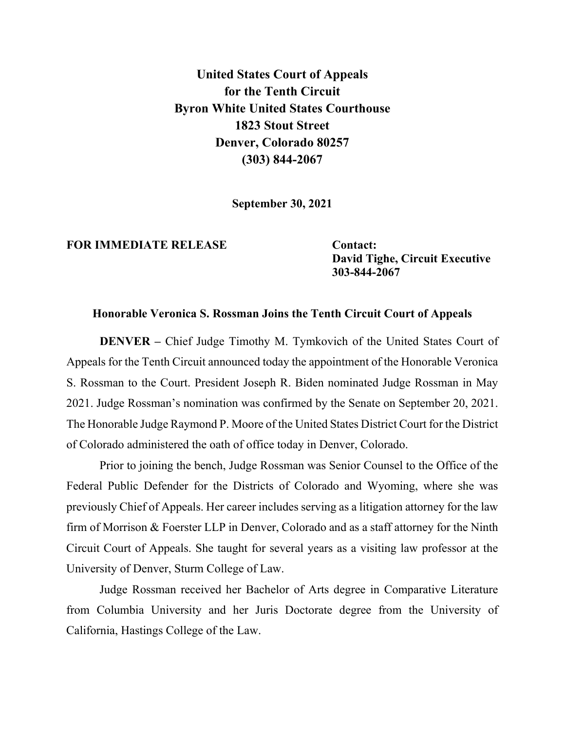**United States Court of Appeals for the Tenth Circuit Byron White United States Courthouse 1823 Stout Street Denver, Colorado 80257 (303) 844-2067**

**September 30, 2021**

## **FOR IMMEDIATE RELEASE Contact:**

**David Tighe, Circuit Executive 303-844-2067**

## **Honorable Veronica S. Rossman Joins the Tenth Circuit Court of Appeals**

**DENVER** – Chief Judge Timothy M. Tymkovich of the United States Court of Appeals for the Tenth Circuit announced today the appointment of the Honorable Veronica S. Rossman to the Court. President Joseph R. Biden nominated Judge Rossman in May 2021. Judge Rossman's nomination was confirmed by the Senate on September 20, 2021. The Honorable Judge Raymond P. Moore of the United States District Court for the District of Colorado administered the oath of office today in Denver, Colorado.

Prior to joining the bench, Judge Rossman was Senior Counsel to the Office of the Federal Public Defender for the Districts of Colorado and Wyoming, where she was previously Chief of Appeals. Her career includes serving as a litigation attorney for the law firm of Morrison & Foerster LLP in Denver, Colorado and as a staff attorney for the Ninth Circuit Court of Appeals. She taught for several years as a visiting law professor at the University of Denver, Sturm College of Law.

Judge Rossman received her Bachelor of Arts degree in Comparative Literature from Columbia University and her Juris Doctorate degree from the University of California, Hastings College of the Law.